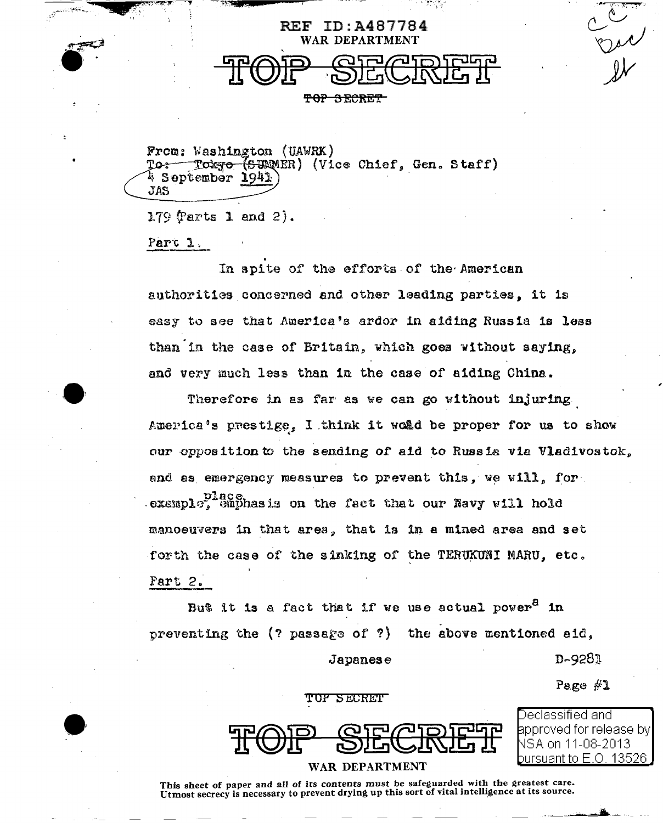

From: Washington (UAWRK) To<del>kyo (SU</del>NNER) (Vice Chief, Gen. Staff)  $\operatorname{\text{\sf To}}$ 4 September 1941 JAS

179 (Parts 1 and 2).

 $ParC<sub>3</sub>$ .

In spite of the efforts of the American authorities concerned and other leading parties, it is easy to see that America's ardor in aiding Russia is less than in the case of Britain, which goes without saying. and very much less than in the case of aiding China.

Therefore in as far as we can go without injuring America's prestige, I think it would be proper for us to show our opposition to the sending of aid to Russia via Vladivostok. and as emergency measures to prevent this, we will, for example,  $\mathrm{Bing}$  and  $\mathrm{Bing}$  and  $\mathrm{Barg}$  and  $\mathrm{Barg}$  and  $\mathrm{Barg}$  and  $\mathrm{Barg}$ manoeuvers in that area, that is in a mined area and set forth the case of the sinking of the TERUKUNI MARU, etc. Part 2.

But it is a fact that if we use actual power<sup>8</sup> in preventing the  $($ ? passage of ?) the above mentioned aid, D-9281 Japanese

TOF SECRET

WAR DEPARTMENT

Declassified and approved for release by| ISA on 11-08-2013 pursuant to E O -13526

Page  $#1$ 

 $\frac{2}{10}$ 

This sheet of paper and all of its contents must be safeguarded with the greatest care. Utmost secrecy is necessary to prevent drying up this sort of vital intelligence at its source.